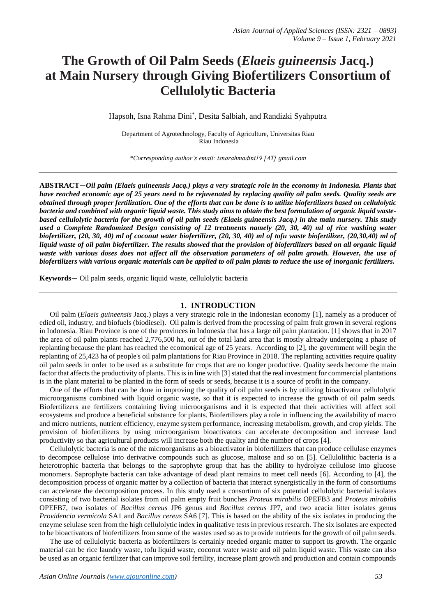# **The Growth of Oil Palm Seeds (***Elaeis guineensis* **Jacq.) at Main Nursery through Giving Biofertilizers Consortium of Cellulolytic Bacteria**

Hapsoh, Isna Rahma Dini\* , Desita Salbiah, and Randizki Syahputra

Department of Agrotechnology, Faculty of Agriculture, Universitas Riau Riau Indonesia

*\*Corresponding author's email: isnarahmadini19 [AT] gmail.com*

**ABSTRACT**—*Oil palm (Elaeis guineensis Jacq.) plays a very strategic role in the economy in Indonesia. Plants that have reached economic age of 25 years need to be rejuvenated by replacing quality oil palm seeds. Quality seeds are obtained through proper fertilization. One of the efforts that can be done is to utilize biofertilizers based on cellulolytic bacteria and combined with organic liquid waste. This study aims to obtain the best formulation of organic liquid wastebased cellulolytic bacteria for the growth of oil palm seeds (Elaeis guineensis Jacq.) in the main nursery. This study used a Complete Randomized Design consisting of 12 treatments namely (20, 30, 40) ml of rice washing water biofertilizer, (20, 30, 40) ml of coconut water biofertilizer, (20, 30, 40) ml of tofu waste biofertilizer, (20,30,40) ml of liquid waste of oil palm biofertilizer. The results showed that the provision of biofertilizers based on all organic liquid*  waste with various doses does not affect all the observation parameters of oil palm growth. However, the use of *biofertilizers with various organic materials can be applied to oil palm plants to reduce the use of inorganic fertilizers.*

**Keywords**— Oil palm seeds, organic liquid waste, cellulolytic bacteria

#### **1. INTRODUCTION**

Oil palm (*Elaeis guineensis* Jacq.) plays a very strategic role in the Indonesian economy [1], namely as a producer of edied oil, industry, and biofuels (biodiesel). Oil palm is derived from the processing of palm fruit grown in several regions in Indonesia. Riau Province is one of the provinces in Indonesia that has a large oil palm plantation. [1] shows that in 2017 the area of oil palm plants reached 2,776,500 ha, out of the total land area that is mostly already undergoing a phase of replanting because the plant has reached the ecomonical age of 25 years. According to [2], the government will begin the replanting of 25,423 ha of people's oil palm plantations for Riau Province in 2018. The replanting activities require quality oil palm seeds in order to be used as a substitute for crops that are no longer productive. Quality seeds become the main factor that affects the productivity of plants. This is in line with [3] stated that the real investment for commercial plantations is in the plant material to be planted in the form of seeds or seeds, because it is a source of profit in the company.

One of the efforts that can be done in improving the quality of oil palm seeds is by utilizing bioactivator cellulolytic microorganisms combined with liquid organic waste, so that it is expected to increase the growth of oil palm seeds. Biofertilizers are fertilizers containing living microorganisms and it is expected that their activities will affect soil ecosystems and produce a beneficial substance for plants. Biofertilizers play a role in influencing the availability of macro and micro nutrients, nutrient efficiency, enzyme system performance, increasing metabolism, growth, and crop yields. The provision of biofertilizers by using microorganism bioactivators can accelerate decomposition and increase land productivity so that agricultural products will increase both the quality and the number of crops [4].

Cellulolytic bacteria is one of the microorganisms as a bioactivator in biofertilizers that can produce cellulase enzymes to decompose cellulose into derivative compounds such as glucose, maltose and so on [5]. Cellulolithic bacteria is a heterotrophic bacteria that belongs to the saprophyte group that has the ability to hydrolyze cellulose into glucose monomers. Saprophyte bacteria can take advantage of dead plant remains to meet cell needs [6]. According to [4], the decomposition process of organic matter by a collection of bacteria that interact synergistically in the form of consortiums can accelerate the decomposition process. In this study used a consortium of six potential cellulolytic bacterial isolates consisting of two bacterial isolates from oil palm empty fruit bunches *Proteus mirabilis* OPEFB3 and *Proteus mirabilis* OPEFB7, two isolates of *Bacillus cereus* JP6 genus and *Bacillus cereus* JP7, and two acacia litter isolates genus *Providencia vermicola* SA1 and *Bacillus cereus* SA6 [7]. This is based on the ability of the six isolates in producing the enzyme selulase seen from the high cellulolytic index in qualitative tests in previous research. The six isolates are expected to be bioactivators of biofertilizers from some of the wastes used so as to provide nutrients for the growth of oil palm seeds.

The use of cellulolytic bacteria as biofertilizers is certainly needed organic matter to support its growth. The organic material can be rice laundry waste, tofu liquid waste, coconut water waste and oil palm liquid waste. This waste can also be used as an organic fertilizer that can improve soil fertility, increase plant growth and production and contain compounds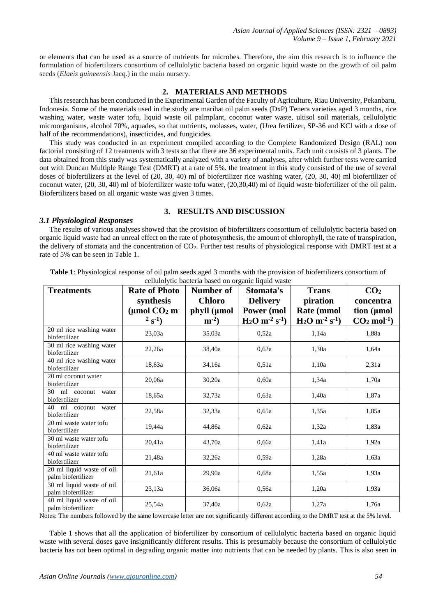or elements that can be used as a source of nutrients for microbes. Therefore, the aim this research is to influence the formulation of biofertilizers consortium of cellulolytic bacteria based on organic liquid waste on the growth of oil palm seeds (*Elaeis guineensis* Jacq.) in the main nursery.

### **2. MATERIALS AND METHODS**

This research has been conducted in the Experimental Garden of the Faculty of Agriculture, Riau University, Pekanbaru, Indonesia. Some of the materials used in the study are marihat oil palm seeds (DxP) Tenera varieties aged 3 months, rice washing water, waste water tofu, liquid waste oil palmplant, coconut water waste, ultisol soil materials, cellulolytic microorganisms, alcohol 70%, aquades, so that nutrients, molasses, water, (Urea fertilizer, SP-36 and KCl with a dose of half of the recommendations), insecticides, and fungicides.

This study was conducted in an experiment compiled according to the Complete Randomized Design (RAL) non factorial consisting of 12 treatments with 3 tests so that there are 36 experimental units. Each unit consists of 3 plants. The data obtained from this study was systematically analyzed with a variety of analyses, after which further tests were carried out with Duncan Multiple Range Test (DMRT) at a rate of 5%. the treatment in this study consisted of the use of several doses of biofertilizers at the level of (20, 30, 40) ml of biofertilizer rice washing water, (20, 30, 40) ml biofertilizer of coconut water, (20, 30, 40) ml of biofertilizer waste tofu water, (20,30,40) ml of liquid waste biofertilizer of the oil palm. Biofertilizers based on all organic waste was given 3 times.

#### *3.1 Physiological Responses*

#### **3. RESULTS AND DISCUSSION**

The results of various analyses showed that the provision of biofertilizers consortium of cellulolytic bacteria based on organic liquid waste had an unreal effect on the rate of photosynthesis, the amount of chlorophyll, the rate of transpiration, the delivery of stomata and the concentration of  $CO<sub>2</sub>$ . Further test results of physiological response with DMRT test at a rate of 5% can be seen in Table 1.

| <b>Treatments</b>                               | <b>Rate of Photo</b><br>synthesis<br>( $\mu$ mol CO <sub>2</sub> m<br>$2^{5}S^{-1}$ | Number of<br><b>Chloro</b><br>phyll (µmol<br>$m^{-2}$ | Stomata's<br><b>Delivery</b><br>Power (mol<br>$H_2O$ m <sup>-2</sup> s <sup>-1</sup> ) | <b>Trans</b><br>piration<br>Rate (mmol<br>$H_2O$ m <sup>-2</sup> s <sup>-1</sup> ) | CO <sub>2</sub><br>concentra<br>tion (µmol<br>$CO2$ mol <sup>-1</sup> ) |
|-------------------------------------------------|-------------------------------------------------------------------------------------|-------------------------------------------------------|----------------------------------------------------------------------------------------|------------------------------------------------------------------------------------|-------------------------------------------------------------------------|
| 20 ml rice washing water<br>biofertilizer       | 23,03a                                                                              | 35,03a                                                | 0,52a                                                                                  | 1,14a                                                                              | 1,88a                                                                   |
| 30 ml rice washing water<br>biofertilizer       | 22,26a                                                                              | 38,40a                                                | 0,62a                                                                                  | 1,30a                                                                              | 1,64a                                                                   |
| 40 ml rice washing water<br>biofertilizer       | 18,63a                                                                              | 34,16a                                                | 0.51a                                                                                  | 1,10a                                                                              | 2,31a                                                                   |
| 20 ml coconut water<br>biofertilizer            | 20,06a                                                                              | 30,20a                                                | 0.60a                                                                                  | 1,34a                                                                              | 1,70a                                                                   |
| 30 ml coconut water<br>biofertilizer            | 18,65a                                                                              | 32,73a                                                | 0.63a                                                                                  | 1,40a                                                                              | 1,87a                                                                   |
| 40 ml coconut water<br>biofertilizer            | 22,58a                                                                              | 32,33a                                                | 0.65a                                                                                  | 1,35a                                                                              | 1,85a                                                                   |
| 20 ml waste water tofu<br>biofertilizer         | 19,44a                                                                              | 44,86a                                                | 0.62a                                                                                  | 1,32a                                                                              | 1,83a                                                                   |
| 30 ml waste water tofu<br>biofertilizer         | 20,41a                                                                              | 43,70a                                                | 0.66a                                                                                  | 1,41a                                                                              | 1,92a                                                                   |
| 40 ml waste water tofu<br>biofertilizer         | 21,48a                                                                              | 32,26a                                                | 0,59a                                                                                  | 1,28a                                                                              | 1,63a                                                                   |
| 20 ml liquid waste of oil<br>palm biofertilizer | 21,61a                                                                              | 29,90a                                                | 0,68a                                                                                  | 1,55a                                                                              | 1,93a                                                                   |
| 30 ml liquid waste of oil<br>palm biofertilizer | 23,13a                                                                              | 36,06a                                                | 0,56a                                                                                  | 1,20a                                                                              | 1.93a                                                                   |
| 40 ml liquid waste of oil<br>palm biofertilizer | 25,54a                                                                              | 37,40a                                                | 0,62a                                                                                  | 1,27a                                                                              | 1,76a                                                                   |

**Table 1**: Physiological response of oil palm seeds aged 3 months with the provision of biofertilizers consortium of cellulolytic bacteria based on organic liquid waste

Notes: The numbers followed by the same lowercase letter are not significantly different according to the DMRT test at the 5% level.

Table 1 shows that all the application of biofertilizer by consortium of cellulolytic bacteria based on organic liquid waste with several doses gave insignificantly different results. This is presumably because the consortium of cellulolytic bacteria has not been optimal in degrading organic matter into nutrients that can be needed by plants. This is also seen in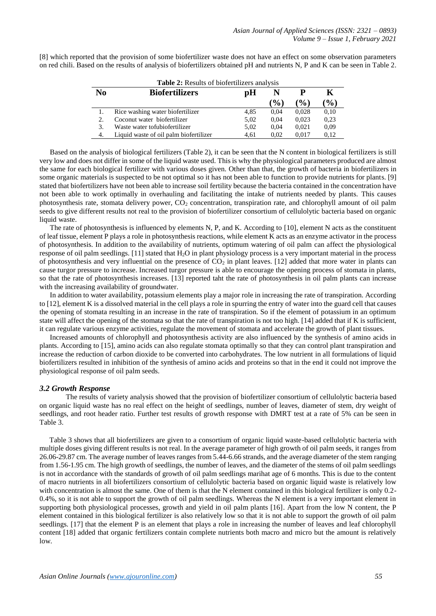[8] which reported that the provision of some biofertilizer waste does not have an effect on some observation parameters on red chili. Based on the results of analysis of biofertilizers obtained pH and nutrients N, P and K can be seen in Table 2.

| Table 2: Results of biofertilizers analysis |                                        |      |               |                 |        |  |  |
|---------------------------------------------|----------------------------------------|------|---------------|-----------------|--------|--|--|
| N <sub>0</sub>                              | <b>Biofertilizers</b>                  | рH   |               |                 |        |  |  |
|                                             |                                        |      | $\frac{1}{2}$ | $\mathcal{O}_0$ | $($ %) |  |  |
|                                             | Rice washing water biofertilizer       | 4.85 | 0.04          | 0.028           | 0,10   |  |  |
| 2.                                          | Coconut water biofertilizer            | 5.02 | 0.04          | 0.023           | 0.23   |  |  |
| 3.                                          | Waste water tofubiofertilizer          | 5.02 | 0.04          | 0.021           | 0,09   |  |  |
| 4.                                          | Liquid waste of oil palm biofertilizer | 4.61 | 0.02          | 0.017           | 0.12   |  |  |

Based on the analysis of biological fertilizers (Table 2), it can be seen that the N content in biological fertilizers is still very low and does not differ in some of the liquid waste used. This is why the physiological parameters produced are almost the same for each biological fertilizer with various doses given. Other than that, the growth of bacteria in biofertilizers in some organic materials is suspected to be not optimal so it has not been able to function to provide nutrients for plants. [9] stated that biofertilizers have not been able to increase soil fertility because the bacteria contained in the concentration have not been able to work optimally in overhauling and facilitating the intake of nutrients needed by plants. This causes photosynthesis rate, stomata delivery power,  $CO<sub>2</sub>$  concentration, transpiration rate, and chlorophyll amount of oil palm seeds to give different results not real to the provision of biofertilizer consortium of cellulolytic bacteria based on organic liquid waste.

The rate of photosynthesis is influenced by elements N, P, and K. According to [10], element N acts as the constituent of leaf tissue, element P plays a role in photosynthesis reactions, while element  $\tilde{K}$  acts as an enzyme activator in the process of photosynthesis. In addition to the availability of nutrients, optimum watering of oil palm can affect the physiological response of oil palm seedlings. [11] stated that H2O in plant physiology process is a very important material in the process of photosynthesis and very influential on the presence of  $CO<sub>2</sub>$  in plant leaves. [12] added that more water in plants can cause turgor pressure to increase. Increased turgor pressure is able to encourage the opening process of stomata in plants, so that the rate of photosynthesis increases. [13] reported taht the rate of photosynthesis in oil palm plants can increase with the increasing availability of groundwater.

In addition to water availability, potassium elements play a major role in increasing the rate of transpiration. According to [12], element K is a dissolved material in the cell plays a role in spurring the entry of water into the guard cell that causes the opening of stomata resulting in an increase in the rate of transpiration. So if the element of potassium in an optimum state will affect the opening of the stomata so that the rate of transpiration is not too high. [14] added that if K is sufficient, it can regulate various enzyme activities, regulate the movement of stomata and accelerate the growth of plant tissues.

Increased amounts of chlorophyll and photosynthesis activity are also influenced by the synthesis of amino acids in plants. According to [15], amino acids can also regulate stomata optimally so that they can control plant transpiration and increase the reduction of carbon dioxide to be converted into carbohydrates. The low nutrient in all formulations of liquid biofertilizers resulted in inhibition of the synthesis of amino acids and proteins so that in the end it could not improve the physiological response of oil palm seeds.

#### *3.2 Growth Response*

The results of variety analysis showed that the provision of biofertilizer consortium of cellulolytic bacteria based on organic liquid waste has no real effect on the height of seedlings, number of leaves, diameter of stem, dry weight of seedlings, and root header ratio. Further test results of growth response with DMRT test at a rate of 5% can be seen in Table 3.

Table 3 shows that all biofertilizers are given to a consortium of organic liquid waste-based cellulolytic bacteria with multiple doses giving different results is not real. In the average parameter of high growth of oil palm seeds, it ranges from 26.06-29.87 cm. The average number of leaves ranges from 5.44-6.66 strands, and the average diameter of the stem ranging from 1.56-1.95 cm. The high growth of seedlings, the number of leaves, and the diameter of the stems of oil palm seedlings is not in accordance with the standards of growth of oil palm seedlings marihat age of 6 months. This is due to the content of macro nutrients in all biofertilizers consortium of cellulolytic bacteria based on organic liquid waste is relatively low with concentration is almost the same. One of them is that the N element contained in this biological fertilizer is only 0.2-0.4%, so it is not able to support the growth of oil palm seedlings. Whereas the N element is a very important element in supporting both physiological processes, growth and yield in oil palm plants [16]. Apart from the low N content, the P element contained in this biological fertilizer is also relatively low so that it is not able to support the growth of oil palm seedlings. [17] that the element P is an element that plays a role in increasing the number of leaves and leaf chlorophyll content [18] added that organic fertilizers contain complete nutrients both macro and micro but the amount is relatively low.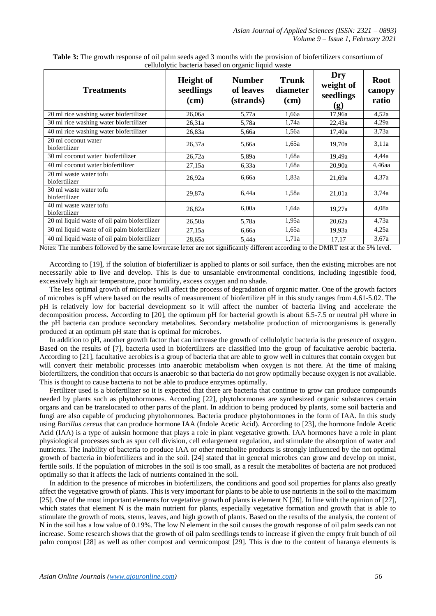| <b>Treatments</b>                            | <b>Height</b> of<br>seedlings<br>(cm) | <b>Number</b><br>of leaves<br>(strands) | <b>Trunk</b><br>diameter<br>(cm) | Dry<br>weight of<br>seedlings<br>(g) | <b>Root</b><br>canopy<br>ratio |
|----------------------------------------------|---------------------------------------|-----------------------------------------|----------------------------------|--------------------------------------|--------------------------------|
| 20 ml rice washing water biofertilizer       | 26,06a                                | 5,77a                                   | 1,66a                            | 17,96a                               | 4,52a                          |
| 30 ml rice washing water biofertilizer       | 26.31a                                | 5,78a                                   | 1,74a                            | 22,43a                               | 4,29a                          |
| 40 ml rice washing water biofertilizer       | 26,83a                                | 5,66a                                   | 1,56a                            | 17,40a                               | 3,73a                          |
| 20 ml coconut water<br>biofertilizer         | 26,37a                                | 5,66a                                   | 1,65a                            | 19,70a                               | 3.11a                          |
| 30 ml coconut water biofertilizer            | 26,72a                                | 5,89a                                   | 1,68a                            | 19,49a                               | 4,44a                          |
| 40 ml coconut water biofertilizer            | 27,15a                                | 6,33a                                   | 1,68a                            | 20,90a                               | 4,46aa                         |
| 20 ml waste water tofu<br>biofertilizer      | 26,92a                                | 6,66a                                   | 1,83a                            | 21,69a                               | 4.37a                          |
| 30 ml waste water tofu<br>biofertilizer      | 29,87a                                | 6,44a                                   | 1,58a                            | 21,01a                               | 3,74a                          |
| 40 ml waste water tofu<br>biofertilizer      | 26,82a                                | 6,00a                                   | 1,64a                            | 19,27a                               | 4,08a                          |
| 20 ml liquid waste of oil palm biofertilizer | 26,50a                                | 5,78a                                   | 1,95a                            | 20,62a                               | 4,73a                          |
| 30 ml liquid waste of oil palm biofertilizer | 27,15a                                | 6,66a                                   | 1,65a                            | 19,93a                               | 4,25a                          |
| 40 ml liquid waste of oil palm biofertilizer | 28,65a                                | 5,44a                                   | 1,71a                            | 17,17                                | 3,67a                          |

**Table 3:** The growth response of oil palm seeds aged 3 months with the provision of biofertilizers consortium of cellulolytic bacteria based on organic liquid waste

Notes: The numbers followed by the same lowercase letter are not significantly different according to the DMRT test at the 5% level.

According to [19], if the solution of biofertilizer is applied to plants or soil surface, then the existing microbes are not necessarily able to live and develop. This is due to unsaniable environmental conditions, including ingestible food, excessively high air temperature, poor humidity, excess oxygen and no shade.

The less optimal growth of microbes will affect the process of degradation of organic matter. One of the growth factors of microbes is pH where based on the results of measurement of biofertilizer pH in this study ranges from 4.61-5.02. The pH is relatively low for bacterial development so it will affect the number of bacteria living and accelerate the decomposition process. According to [20], the optimum pH for bacterial growth is about 6.5-7.5 or neutral pH where in the pH bacteria can produce secondary metabolites. Secondary metabolite production of microorganisms is generally produced at an optimum pH state that is optimal for microbes.

In addition to pH, another growth factor that can increase the growth of cellulolytic bacteria is the presence of oxygen. Based on the results of [7], bacteria used in biofertilizers are classified into the group of facultative aerobic bacteria. According to [21], facultative aerobics is a group of bacteria that are able to grow well in cultures that contain oxygen but will convert their metabolic processes into anaerobic metabolism when oxygen is not there. At the time of making biofertilizers, the condition that occurs is anaerobic so that bacteria do not grow optimally because oxygen is not available. This is thought to cause bacteria to not be able to produce enzymes optimally.

Fertilizer used is a biofertilizer so it is expected that there are bacteria that continue to grow can produce compounds needed by plants such as phytohormones. According [22], phytohormones are synthesized organic substances certain organs and can be translocated to other parts of the plant. In addition to being produced by plants, some soil bacteria and fungi are also capable of producing phytohormones. Bacteria produce phytohormones in the form of IAA. In this study using *Bacillus cereus* that can produce hormone IAA (Indole Acetic Acid). According to [23], the hormone Indole Acetic Acid (IAA) is a type of auksin hormone that plays a role in plant vegetative growth. IAA hormones have a role in plant physiological processes such as spur cell division, cell enlargement regulation, and stimulate the absorption of water and nutrients. The inability of bacteria to produce IAA or other metabolite products is strongly influenced by the not optimal growth of bacteria in biofertilizers and in the soil. [24] stated that in general microbes can grow and develop on moist, fertile soils. If the population of microbes in the soil is too small, as a result the metabolites of bacteria are not produced optimally so that it affects the lack of nutrients contained in the soil.

In addition to the presence of microbes in biofertilizers, the conditions and good soil properties for plants also greatly affect the vegetative growth of plants. This is very important for plants to be able to use nutrients in the soil to the maximum [25]. One of the most important elements for vegetative growth of plants is element N [26]. In line with the opinion of [27], which states that element N is the main nutrient for plants, especially vegetative formation and growth that is able to stimulate the growth of roots, stems, leaves, and high growth of plants. Based on the results of the analysis, the content of N in the soil has a low value of 0.19%. The low N element in the soil causes the growth response of oil palm seeds can not increase. Some research shows that the growth of oil palm seedlings tends to increase if given the empty fruit bunch of oil palm compost [28] as well as other compost and vermicompost [29]. This is due to the content of haranya elements is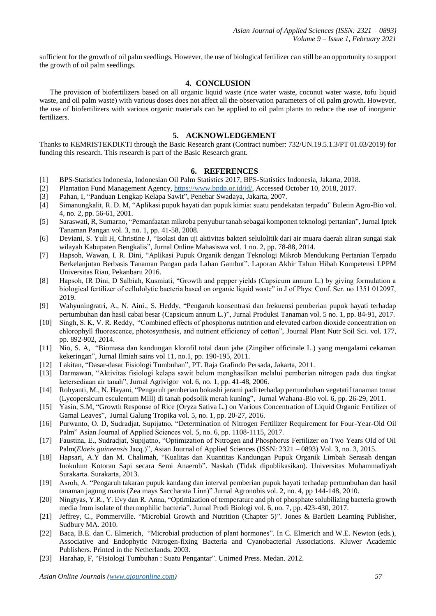sufficient for the growth of oil palm seedlings. However, the use of biological fertilizer can still be an opportunity to support the growth of oil palm seedlings.

## **4. CONCLUSION**

The provision of biofertilizers based on all organic liquid waste (rice water waste, coconut water waste, tofu liquid waste, and oil palm waste) with various doses does not affect all the observation parameters of oil palm growth. However, the use of biofertilizers with various organic materials can be applied to oil palm plants to reduce the use of inorganic fertilizers.

#### **5. ACKNOWLEDGEMENT**

Thanks to KEMRISTEKDIKTI through the Basic Research grant (Contract number: 732/UN.19.5.1.3/PT 01.03/2019) for funding this research. This research is part of the Basic Research grant.

#### **6. REFERENCES**

- [1] BPS-Statistics Indonesia, Indonesian Oil Palm Statistics 2017, BPS-Statistics Indonesia, Jakarta, 2018.
- [2] Plantation Fund Management Agency, [https://www.bpdp.or.id/id/,](https://www.bpdp.or.id/id/) Accessed October 10, 2018, 2017.
- [3] Pahan, I, "Panduan Lengkap Kelapa Sawit", Penebar Swadaya, Jakarta, 2007.
- [4] Simanungkalit, R. D. M, "Aplikasi pupuk hayati dan pupuk kimia: suatu pendekatan terpadu" Buletin Agro-Bio vol. 4, no. 2, pp. 56-61, 2001.
- [5] Saraswati, R, Sumarno, "Pemanfaatan mikroba penyubur tanah sebagai komponen teknologi pertanian", Jurnal Iptek Tanaman Pangan vol. 3, no. 1, pp. 41-58, 2008.
- [6] Deviani, S. Yuli H, Christine J, "Isolasi dan uji aktivitas bakteri selulolitik dari air muara daerah aliran sungai siak wilayah Kabupaten Bengkalis", Jurnal Online Mahasiswa vol. 1 no. 2, pp. 78-88, 2014.
- [7] Hapsoh, Wawan, I. R. Dini, "Aplikasi Pupuk Organik dengan Teknologi Mikrob Mendukung Pertanian Terpadu Berkelanjutan Berbasis Tanaman Pangan pada Lahan Gambut". Laporan Akhir Tahun Hibah Kompetensi LPPM Universitas Riau, Pekanbaru 2016.
- [8] Hapsoh, IR Dini, D Salbiah, Kusmiati, "Growth and pepper yields (Capsicum annum L.) by giving formulation a biological fertilizer of cellulolytic bacteria based on organic liquid waste" in J of Phys: Conf. Ser. no 1351 012097, 2019.
- [9] Wahyuningratri, A., N. Aini., S. Heddy, "Pengaruh konsentrasi dan frekuensi pemberian pupuk hayati terhadap pertumbuhan dan hasil cabai besar (Capsicum annum L.)", Jurnal Produksi Tanaman vol. 5 no. 1, pp. 84-91, 2017.
- [10] Singh, S. K, V. R. Reddy, "Combined effects of phosphorus nutrition and elevated carbon dioxide concentration on chlorophyll fluorescence, photosynthesis, and nutrient efficiency of cotton", Journal Plant Nutr Soil Sci. vol. 177, pp. 892-902, 2014.
- [11] Nio, S. A, "Biomasa dan kandungan klorofil total daun jahe (Zingiber officinale L.) yang mengalami cekaman kekeringan", Jurnal Ilmiah sains vol 11, no.1, pp. 190-195, 2011.
- [12] Lakitan, "Dasar-dasar Fisiologi Tumbuhan", PT. Raja Grafindo Persada, Jakarta, 2011.
- [13] Darmawan, "Aktivitas fisiologi kelapa sawit belum menghasilkan melalui pemberian nitrogen pada dua tingkat ketersediaan air tanah", Jurnal Agrivigor vol. 6, no. 1, pp. 41-48, 2006.
- [14] Rohyanti, M., N. Hayani, "Pengaruh pemberian bokashi jerami padi terhadap pertumbuhan vegetatif tanaman tomat (Lycopersicum esculentum Mill) di tanah podsolik merah kuning", Jurnal Wahana-Bio vol. 6, pp. 26-29, 2011.
- [15] Yasin, S.M, "Growth Response of Rice (Oryza Sativa L.) on Various Concentration of Liquid Organic Fertilizer of Gamal Leaves", Jurnal Galung Tropika vol. 5, no. 1, pp. 20-27, 2016.
- [16] Purwanto, O. D, Sudradjat, Supijatno, "Determination of Nitrogen Fertilizer Requirement for Four-Year-Old Oil Palm" Asian Journal of Applied Sciences vol. 5, no. 6, pp. 1108-1115, 2017.
- [17] Faustina, E., Sudradjat, Supijatno, "Optimization of Nitrogen and Phosphorus Fertilizer on Two Years Old of Oil Palm(*Elaeis guineensis* Jacq.)", Asian Journal of Applied Sciences (ISSN: 2321 – 0893) Vol. 3, no. 3, 2015.
- [18] Hapsari, A.Y dan M. Chalimah, "Kualitas dan Kuantitas Kandungan Pupuk Organik Limbah Serasah dengan Inokulum Kotoran Sapi secara Semi Anaerob". Naskah (Tidak dipublikasikan). Universitas Muhammadiyah Surakarta. Surakarta, 2013.
- [19] Asroh, A. "Pengaruh takaran pupuk kandang dan interval pemberian pupuk hayati terhadap pertumbuhan dan hasil tanaman jagung manis (Zea mays Saccharata Linn)" Jurnal Agronobis vol. 2, no. 4, pp 144-148, 2010.
- [20] Ningtyas, Y.R., Y. Evy dan R. Anna, "Optimization of temperature and ph of phosphate solubilizing bacteria growth media from isolate of thermophilic bacteria". Jurnal Prodi Biologi vol. 6, no. 7, pp. 423-430, 2017.
- [21] Jeffrey, C., Pommerville. "Microbial Growth and Nutrition (Chapter 5)". Jones & Bartlett Learning Publisher, Sudbury MA. 2010.
- [22] Baca, B.E. dan C. Elmerich, "Microbial production of plant hormones". In C. Elmerich and W.E. Newton (eds.), Associative and Endophytic Nitrogen-fixing Bacteria and Cyanobacterial Associations. Kluwer Academic Publishers. Printed in the Netherlands. 2003.
- [23] Harahap, F, "Fisiologi Tumbuhan : Suatu Pengantar". Unimed Press. Medan. 2012.